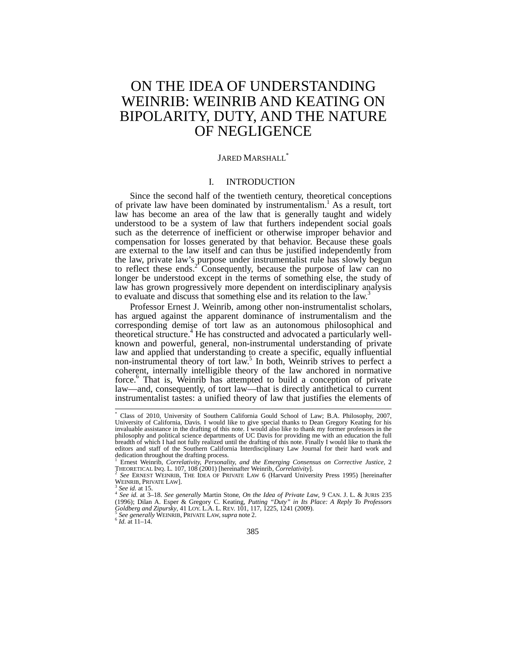# ON THE IDEA OF UNDERSTANDING WEINRIB: WEINRIB AND KEATING ON BIPOLARITY, DUTY, AND THE NATURE OF NEGLIGENCE

## JARED MARSHALL<sup>\*</sup>

# I. INTRODUCTION

Since the second half of the twentieth century, theoretical conceptions of private law have been dominated by instrumentalism.<sup>1</sup> As a result, tort law has become an area of the law that is generally taught and widely understood to be a system of law that furthers independent social goals such as the deterrence of inefficient or otherwise improper behavior and compensation for losses generated by that behavior. Because these goals are external to the law itself and can thus be justified independently from the law, private law's purpose under instrumentalist rule has slowly begun to reflect these ends.<sup>2</sup> Consequently, because the purpose of law can no longer be understood except in the terms of something else, the study of law has grown progressively more dependent on interdisciplinary analysis to evaluate and discuss that something else and its relation to the law.<sup>3</sup>

Professor Ernest J. Weinrib, among other non-instrumentalist scholars, has argued against the apparent dominance of instrumentalism and the corresponding demise of tort law as an autonomous philosophical and theoretical structure.<sup>4</sup> He has constructed and advocated a particularly wellknown and powerful, general, non-instrumental understanding of private law and applied that understanding to create a specific, equally influential non-instrumental theory of tort law.<sup>5</sup> In both, Weinrib strives to perfect a coherent, internally intelligible theory of the law anchored in normative force.6 That is, Weinrib has attempted to build a conception of private law—and, consequently, of tort law—that is directly antithetical to current instrumentalist tastes: a unified theory of law that justifies the elements of

 $\overline{a}$ 

<sup>\*</sup> Class of 2010, University of Southern California Gould School of Law; B.A. Philosophy, 2007, University of California, Davis. I would like to give special thanks to Dean Gregory Keating for his invaluable assistance in the drafting of this note. I would also like to thank my former professors in the philosophy and political science departments of UC Davis for providing me with an education the full breadth of which I had not fully realized until the drafting of this note. Finally I would like to thank the editors and staff of the Southern California Interdisciplinary Law Journal for their hard work and dedication throughout the drafting process. <sup>1</sup> Ernest Weinrib, *Correlativity, Personality, and the Emerging Consensus on Corrective Justice,* 2

THEORETICAL INQ. L. 107, 108 (2001) [hereinafter Weinrib, *Correlativity*].<br>
<sup>2</sup> *See* ERNEST WEINRIB, THE IDEA OF PRIVATE LAW 6 (Harvard University Press 1995) [hereinafter WEINRIB, PRIVATE LAW]. WEINRIB, PRIVATE LAW].<br><sup>3</sup> *See id.* at 15.<br><sup>4</sup> *See id.* at 3–18. *See generally Ma*rtin Stone, *On the Idea of Private Law*, 9 CAN. J. L. & JURIS 235

<sup>(1996);</sup> Dilan A. Esper & Gregory C. Keating, *Putting "Duty" in Its Place: A Reply To Professors Goldberg and Zipursky*, 41 LOY. L.A. L. REV. 101, 117, 1225, 1241 (2009).<br><sup>5</sup> *See generally* WEINRIB, PRIVATE LAW, *supra* note 2.<br><sup>6</sup> *Id.* at 11–14.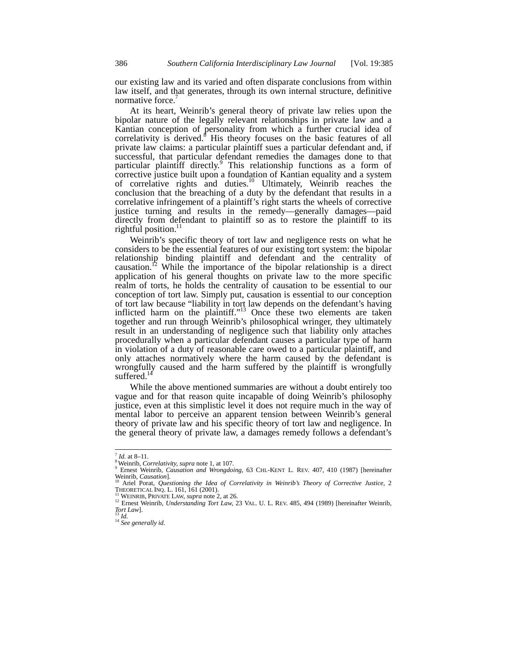our existing law and its varied and often disparate conclusions from within law itself, and that generates, through its own internal structure, definitive normative force.'

At its heart, Weinrib's general theory of private law relies upon the bipolar nature of the legally relevant relationships in private law and a Kantian conception of personality from which a further crucial idea of correlativity is derived.<sup>8</sup> His theory focuses on the basic features of all private law claims: a particular plaintiff sues a particular defendant and, if successful, that particular defendant remedies the damages done to that particular plaintiff directly.<sup>9</sup> This relationship functions as a form of corrective justice built upon a foundation of Kantian equality and a system of correlative rights and duties.<sup>10</sup> Ultimately, Weinrib reaches the conclusion that the breaching of a duty by the defendant that results in a correlative infringement of a plaintiff's right starts the wheels of corrective justice turning and results in the remedy—generally damages—paid directly from defendant to plaintiff so as to restore the plaintiff to its rightful position. $11$ 

Weinrib's specific theory of tort law and negligence rests on what he considers to be the essential features of our existing tort system: the bipolar relationship binding plaintiff and defendant and the centrality of causation.<sup>12</sup> While the importance of the bipolar relationship is a direct application of his general thoughts on private law to the more specific realm of torts, he holds the centrality of causation to be essential to our conception of tort law. Simply put, causation is essential to our conception of tort law because "liability in tort law depends on the defendant's having inflicted harm on the plaintiff."<sup>13</sup> Once these two elements are taken together and run through Weinrib's philosophical wringer, they ultimately result in an understanding of negligence such that liability only attaches procedurally when a particular defendant causes a particular type of harm in violation of a duty of reasonable care owed to a particular plaintiff, and only attaches normatively where the harm caused by the defendant is wrongfully caused and the harm suffered by the plaintiff is wrongfully suffered.<sup>1</sup>

While the above mentioned summaries are without a doubt entirely too vague and for that reason quite incapable of doing Weinrib's philosophy justice, even at this simplistic level it does not require much in the way of mental labor to perceive an apparent tension between Weinrib's general theory of private law and his specific theory of tort law and negligence. In the general theory of private law, a damages remedy follows a defendant's

 $^7$  *Id.* at 8-11.

<sup>&</sup>lt;sup>8</sup> Weinrib, *Correlativity, supra* note 1, at 107.<br>
<sup>9</sup> Ernest Weinrib, *Causation and Wrongdoing*, 63 CHI.-KENT L. REV. 407, 410 (1987) [hereinafter Weinrib, *Causation*].

Weinrib, *Causation*].<br><sup>10</sup> Ariel Porat, *Questioning the Idea of Correlativity in Weinrib's Theory of Corrective Justice, 2* THEORETICAL INQ. L. 161, 161 (2001).<br><sup>11</sup> WEINRIB, PRIVATE LAW, *supra* note 2, at 26.<br><sup>12</sup> Ernest Weinrib, *Understanding Tort Law*, 23 VAL. U. L. REV. 485, 494 (1989) [hereinafter Weinrib,

<sup>&</sup>lt;sup>12</sup> Ernest Weinrib, *Understanding Tort Law*, 23 VAL. U. L. REV. 485, 494 (1989) [hereinafter Weinrib, *Tort Law*].<br>*Tort Law*].<br><sup>13</sup> *Id.* <sup>14</sup> *See generally id.*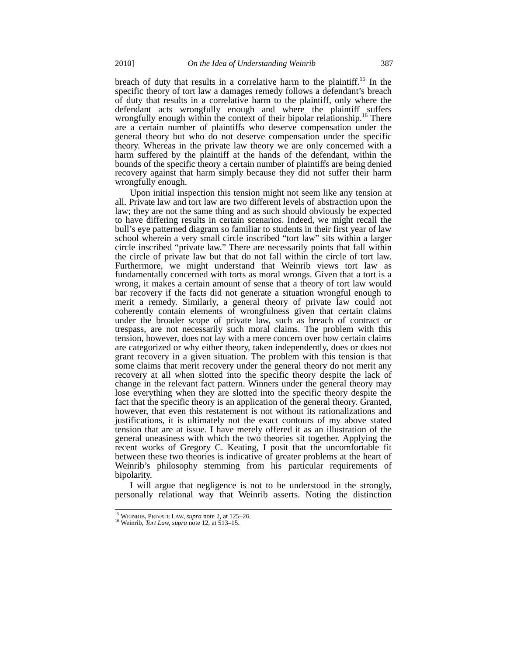breach of duty that results in a correlative harm to the plaintiff.<sup>15</sup> In the specific theory of tort law a damages remedy follows a defendant's breach of duty that results in a correlative harm to the plaintiff, only where the defendant acts wrongfully enough and where the plaintiff suffers wrongfully enough within the context of their bipolar relationship.<sup>16</sup> There are a certain number of plaintiffs who deserve compensation under the general theory but who do not deserve compensation under the specific theory. Whereas in the private law theory we are only concerned with a harm suffered by the plaintiff at the hands of the defendant, within the bounds of the specific theory a certain number of plaintiffs are being denied recovery against that harm simply because they did not suffer their harm wrongfully enough.

Upon initial inspection this tension might not seem like any tension at all. Private law and tort law are two different levels of abstraction upon the law; they are not the same thing and as such should obviously be expected to have differing results in certain scenarios. Indeed, we might recall the bull's eye patterned diagram so familiar to students in their first year of law school wherein a very small circle inscribed "tort law" sits within a larger circle inscribed "private law." There are necessarily points that fall within the circle of private law but that do not fall within the circle of tort law. Furthermore, we might understand that Weinrib views tort law as fundamentally concerned with torts as moral wrongs. Given that a tort is a wrong, it makes a certain amount of sense that a theory of tort law would bar recovery if the facts did not generate a situation wrongful enough to merit a remedy. Similarly, a general theory of private law could not coherently contain elements of wrongfulness given that certain claims under the broader scope of private law, such as breach of contract or trespass, are not necessarily such moral claims. The problem with this tension, however, does not lay with a mere concern over how certain claims are categorized or why either theory, taken independently, does or does not grant recovery in a given situation. The problem with this tension is that some claims that merit recovery under the general theory do not merit any recovery at all when slotted into the specific theory despite the lack of change in the relevant fact pattern. Winners under the general theory may lose everything when they are slotted into the specific theory despite the fact that the specific theory is an application of the general theory. Granted, however, that even this restatement is not without its rationalizations and justifications, it is ultimately not the exact contours of my above stated tension that are at issue. I have merely offered it as an illustration of the general uneasiness with which the two theories sit together. Applying the recent works of Gregory C. Keating, I posit that the uncomfortable fit between these two theories is indicative of greater problems at the heart of Weinrib's philosophy stemming from his particular requirements of bipolarity.

I will argue that negligence is not to be understood in the strongly, personally relational way that Weinrib asserts. Noting the distinction

<sup>&</sup>lt;sup>15</sup> WEINRIB, PRIVATE LAW, *supra* note 2, at 125–26.

<sup>&</sup>lt;sup>16</sup> Weinrib, *Tort Law, supra* note 12, at 513–15.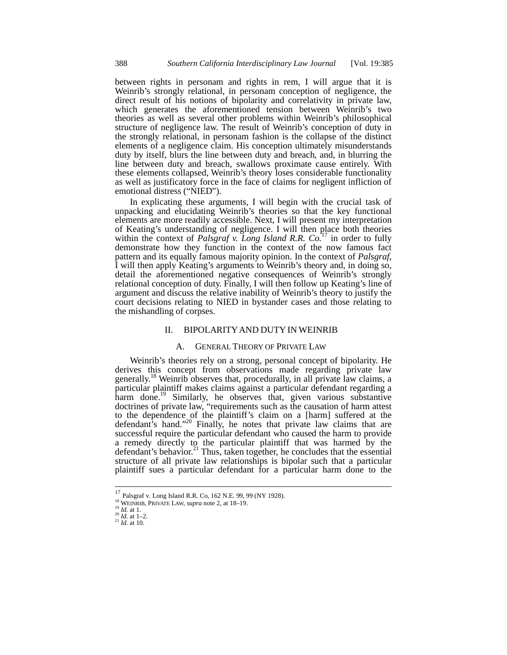between rights in personam and rights in rem, I will argue that it is Weinrib's strongly relational, in personam conception of negligence, the direct result of his notions of bipolarity and correlativity in private law, which generates the aforementioned tension between Weinrib's two theories as well as several other problems within Weinrib's philosophical structure of negligence law. The result of Weinrib's conception of duty in the strongly relational, in personam fashion is the collapse of the distinct elements of a negligence claim. His conception ultimately misunderstands duty by itself, blurs the line between duty and breach, and, in blurring the line between duty and breach, swallows proximate cause entirely. With these elements collapsed, Weinrib's theory loses considerable functionality as well as justificatory force in the face of claims for negligent infliction of emotional distress ("NIED").

In explicating these arguments, I will begin with the crucial task of unpacking and elucidating Weinrib's theories so that the key functional elements are more readily accessible. Next, I will present my interpretation of Keating's understanding of negligence. I will then place both theories within the context of *Palsgraf v. Long Island R.R. Co.*<sup>17</sup> in order to fully demonstrate how they function in the context of the now famous fact pattern and its equally famous majority opinion. In the context of *Palsgraf*, I will then apply Keating's arguments to Weinrib's theory and, in doing so, detail the aforementioned negative consequences of Weinrib's strongly relational conception of duty. Finally, I will then follow up Keating's line of argument and discuss the relative inability of Weinrib's theory to justify the court decisions relating to NIED in bystander cases and those relating to the mishandling of corpses.

### II. BIPOLARITYAND DUTY IN WEINRIB

#### A. GENERAL THEORY OF PRIVATE LAW

Weinrib's theories rely on a strong, personal concept of bipolarity. He derives this concept from observations made regarding private law generally.<sup>18</sup> Weinrib observes that, procedurally, in all private law claims, a particular plaintiff makes claims against a particular defendant regarding a harm done.<sup>19</sup> Similarly, he observes that, given various substantive doctrines of private law, "requirements such as the causation of harm attest to the dependence of the plaintiff's claim on a [harm] suffered at the defendant's hand."<sup>20</sup> Finally, he notes that private law claims that are successful require the particular defendant who caused the harm to provide a remedy directly to the particular plaintiff that was harmed by the defendant's behavior.<sup>21</sup> Thus, taken together, he concludes that the essential structure of all private law relationships is bipolar such that a particular plaintiff sues a particular defendant for a particular harm done to the

<sup>&</sup>lt;sup>17</sup> Palsgraf v. Long Island R.R. Co, 162 N.E. 99, 99 (NY 1928).<br><sup>18</sup> WEINRIB, PRIVATE LAW, *supra* note 2, at 18–19.<br><sup>20</sup> *Id.* at 1–2.<br><sup>21</sup> *Id.* at 10.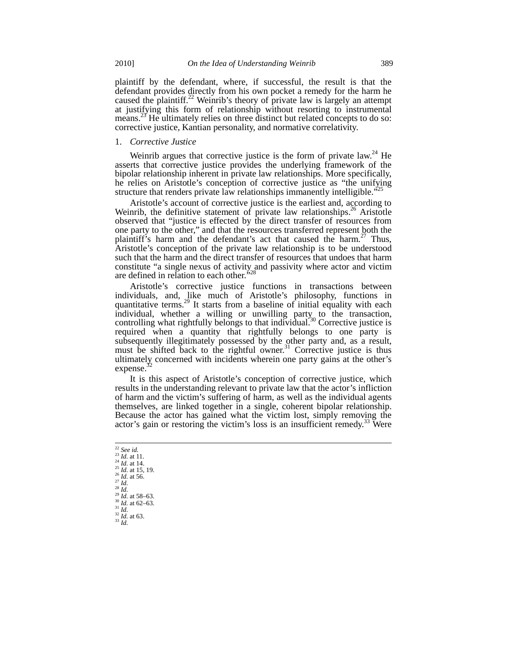plaintiff by the defendant, where, if successful, the result is that the defendant provides directly from his own pocket a remedy for the harm he caused the plaintiff.<sup>22</sup> Weinrib's theory of private law is largely an attempt at justifying this form of relationship without resorting to instrumental means.<sup>23</sup> He ultimately relies on three distinct but related concepts to do so: corrective justice, Kantian personality, and normative correlativity.

#### 1. *Corrective Justice*

Weinrib argues that corrective justice is the form of private  $law<sup>24</sup>$  He asserts that corrective justice provides the underlying framework of the bipolar relationship inherent in private law relationships. More specifically, he relies on Aristotle's conception of corrective justice as "the unifying structure that renders private law relationships immanently intelligible."

Aristotle's account of corrective justice is the earliest and, according to Weinrib, the definitive statement of private law relationships.<sup>26</sup> Aristotle observed that "justice is effected by the direct transfer of resources from one party to the other," and that the resources transferred represent both the plaintiff's harm and the defendant's act that caused the harm.<sup>27</sup> Thus, Aristotle's conception of the private law relationship is to be understood such that the harm and the direct transfer of resources that undoes that harm constitute "a single nexus of activity and passivity where actor and victim are defined in relation to each other."<sup>28</sup>

Aristotle's corrective justice functions in transactions between individuals, and, like much of Aristotle's philosophy, functions in quantitative terms.<sup>29</sup> It starts from a baseline of initial equality with each individual, whether a willing or unwilling party to the transaction, controlling what rightfully belongs to that individual.<sup>30</sup> Corrective justice is required when a quantity that rightfully belongs to one party is subsequently illegitimately possessed by the other party and, as a result, must be shifted back to the rightful owner.<sup>31</sup> Corrective justice is thus ultimately concerned with incidents wherein one party gains at the other's  $expense.<sup>3</sup>$ 

It is this aspect of Aristotle's conception of corrective justice, which results in the understanding relevant to private law that the actor's infliction of harm and the victim's suffering of harm, as well as the individual agents themselves, are linked together in a single, coherent bipolar relationship. Because the actor has gained what the victim lost, simply removing the actor's gain or restoring the victim's loss is an insufficient remedy.<sup>33</sup> Were

 $\frac{22}{23}$  See id.<br>
<sup>23</sup> Id. at 11. 24 Id. at 14.<br>
25 Id. at 15, 19.<br>
26 Id. at 56.<br>
27 Id.<br>
28 Id.<br>
29 Id. at 58–63.<br>
31 Id. at 62–63.<br>
32 Id. at 63.<br>
33 Id.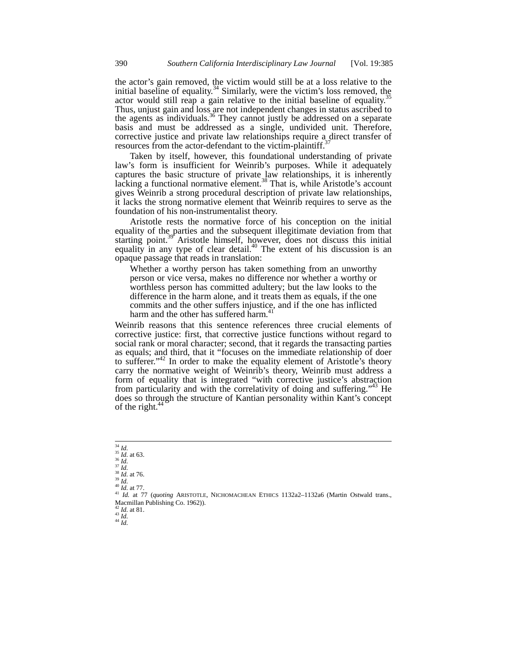the actor's gain removed, the victim would still be at a loss relative to the initial baseline of equality.<sup>34</sup> Similarly, were the victim's loss removed, the actor would still reap a gain relative to the initial baseline of equality.<sup>35</sup> Thus, unjust gain and loss are not independent changes in status ascribed to the agents as individuals.<sup>36</sup> They cannot justly be addressed on a separate basis and must be addressed as a single, undivided unit. Therefore, corrective justice and private law relationships require a direct transfer of resources from the actor-defendant to the victim-plaintiff.<sup>3</sup>

Taken by itself, however, this foundational understanding of private law's form is insufficient for Weinrib's purposes. While it adequately captures the basic structure of private law relationships, it is inherently lacking a functional normative element.<sup>38</sup> That is, while Aristotle's account gives Weinrib a strong procedural description of private law relationships, it lacks the strong normative element that Weinrib requires to serve as the foundation of his non-instrumentalist theory.

Aristotle rests the normative force of his conception on the initial equality of the parties and the subsequent illegitimate deviation from that starting point.<sup>39</sup> Aristotle himself, however, does not discuss this initial equality in any type of clear detail.<sup>40</sup> The extent of his discussion is an opaque passage that reads in translation:

Whether a worthy person has taken something from an unworthy person or vice versa, makes no difference nor whether a worthy or worthless person has committed adultery; but the law looks to the difference in the harm alone, and it treats them as equals, if the one commits and the other suffers injustice, and if the one has inflicted harm and the other has suffered harm.<sup>4</sup>

Weinrib reasons that this sentence references three crucial elements of corrective justice: first, that corrective justice functions without regard to social rank or moral character; second, that it regards the transacting parties as equals; and third, that it "focuses on the immediate relationship of doer to sufferer."<sup>42</sup> In order to make the equality element of Aristotle's theory carry the normative weight of Weinrib's theory, Weinrib must address a form of equality that is integrated "with corrective justice's abstraction from particularity and with the correlativity of doing and suffering."<sup>43</sup> He does so through the structure of Kantian personality within Kant's concept of the right. $44$ 

<sup>42</sup> *Id.* at 81. <sup>43</sup> *Id.* <sup>44</sup> *Id.*

 $^{34}$   $\mathit{ld}$ 

<sup>&</sup>lt;sup>35</sup> *Id.* at 63.<br>
<sup>35</sup> *Id.* 37 *Id.*<br>
<sup>37</sup> *Id.* <sup>37</sup> *Id.* 40 *Id.* at 77.<br>
<sup>40</sup> *Id.* at 77.<br>
<sup>41</sup> *Id.* at 77 (*quoting* ARISTOTLE, NICHOMACHEAN ETHICS 1132a2–1132a6 (Martin Ostwald trans., Macmillan Publishing Co. 1962)).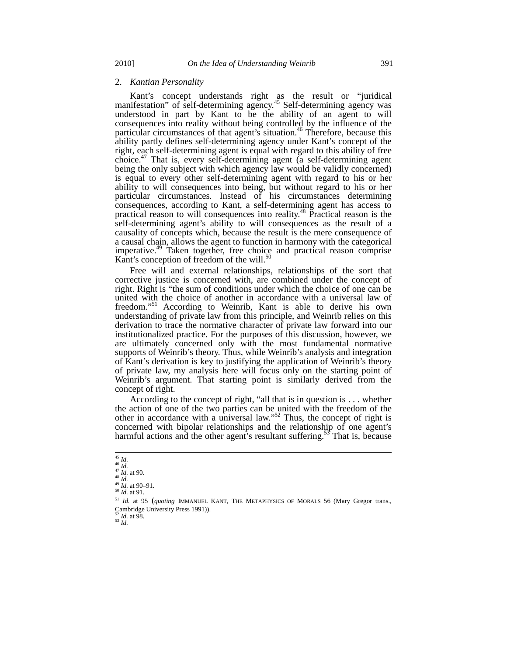#### 2. *Kantian Personality*

Kant's concept understands right as the result or "juridical manifestation" of self-determining agency.<sup>45</sup> Self-determining agency was understood in part by Kant to be the ability of an agent to will consequences into reality without being controlled by the influence of the particular circumstances of that agent's situation.<sup>46</sup> Therefore, because this ability partly defines self-determining agency under Kant's concept of the right, each self-determining agent is equal with regard to this ability of free choice.47 That is, every self-determining agent (a self-determining agent being the only subject with which agency law would be validly concerned) is equal to every other self-determining agent with regard to his or her ability to will consequences into being, but without regard to his or her particular circumstances. Instead of his circumstances determining consequences, according to Kant, a self-determining agent has access to practical reason to will consequences into reality.48 Practical reason is the self-determining agent's ability to will consequences as the result of a causality of concepts which, because the result is the mere consequence of a causal chain, allows the agent to function in harmony with the categorical imperative.<sup>49</sup> Taken together, free choice and practical reason comprise Kant's conception of freedom of the will.<sup>51</sup>

Free will and external relationships, relationships of the sort that corrective justice is concerned with, are combined under the concept of right. Right is "the sum of conditions under which the choice of one can be united with the choice of another in accordance with a universal law of freedom."<sup>51</sup> According to Weinrib, Kant is able to derive his own understanding of private law from this principle, and Weinrib relies on this derivation to trace the normative character of private law forward into our institutionalized practice. For the purposes of this discussion, however, we are ultimately concerned only with the most fundamental normative supports of Weinrib's theory. Thus, while Weinrib's analysis and integration of Kant's derivation is key to justifying the application of Weinrib's theory of private law, my analysis here will focus only on the starting point of Weinrib's argument. That starting point is similarly derived from the concept of right.

According to the concept of right, "all that is in question is . . . whether the action of one of the two parties can be united with the freedom of the other in accordance with a universal law."<sup>52</sup> Thus, the concept of right is concerned with bipolar relationships and the relationship of one agent's harmful actions and the other agent's resultant suffering.<sup>53</sup> That is, because

 $\frac{52}{53}$  *Id.* at 98.

 $^{45}$   $\mathit{Id.}$ 

<sup>45</sup> *Id.* 46 *Id.* 47 *Id.* at 90. 48 *Id.* 49 *Id.* at 90–91. 50 *Id.* at 91.

<sup>51</sup> *Id.* at 95 (*quoting* IMMANUEL KANT, THE METAPHYSICS OF MORALS 56 (Mary Gregor trans., Cambridge University Press 1991)).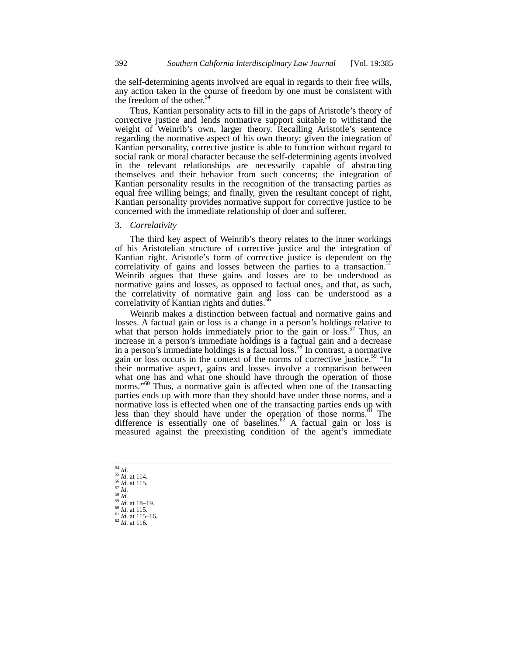the self-determining agents involved are equal in regards to their free wills, any action taken in the course of freedom by one must be consistent with the freedom of the other. $54$ 

Thus, Kantian personality acts to fill in the gaps of Aristotle's theory of corrective justice and lends normative support suitable to withstand the weight of Weinrib's own, larger theory. Recalling Aristotle's sentence regarding the normative aspect of his own theory: given the integration of Kantian personality, corrective justice is able to function without regard to social rank or moral character because the self-determining agents involved in the relevant relationships are necessarily capable of abstracting themselves and their behavior from such concerns; the integration of Kantian personality results in the recognition of the transacting parties as equal free willing beings; and finally, given the resultant concept of right, Kantian personality provides normative support for corrective justice to be concerned with the immediate relationship of doer and sufferer.

## 3. *Correlativity*

The third key aspect of Weinrib's theory relates to the inner workings of his Aristotelian structure of corrective justice and the integration of Kantian right. Aristotle's form of corrective justice is dependent on the correlativity of gains and losses between the parties to a transaction. $55$ Weinrib argues that these gains and losses are to be understood as normative gains and losses, as opposed to factual ones, and that, as such, the correlativity of normative gain and loss can be understood as a correlativity of Kantian rights and duties.<sup>5</sup>

Weinrib makes a distinction between factual and normative gains and losses. A factual gain or loss is a change in a person's holdings relative to what that person holds immediately prior to the gain or loss.<sup>57</sup> Thus, an increase in a person's immediate holdings is a factual gain and a decrease in a person's immediate holdings is a factual loss.<sup>58</sup> In contrast, a normative gain or loss occurs in the context of the norms of corrective justice.<sup>59</sup> "In their normative aspect, gains and losses involve a comparison between what one has and what one should have through the operation of those norms."<sup>60</sup> Thus, a normative gain is affected when one of the transacting parties ends up with more than they should have under those norms, and a normative loss is effected when one of the transacting parties ends up with less than they should have under the operation of those norms. $61$  The difference is essentially one of baselines.<sup>62</sup> A factual gain or loss is measured against the preexisting condition of the agent's immediate

 $^{\rm 54}$   $ld.$ 54 *Id.* 55 *Id.* at 114. 56 *Id.* at 115. 57 *Id.* 58 *Id.* 59 *Id.* at 18–19. 60 *Id.* at 115. 61 *Id.* at 115–16. 62 *Id.* at 116.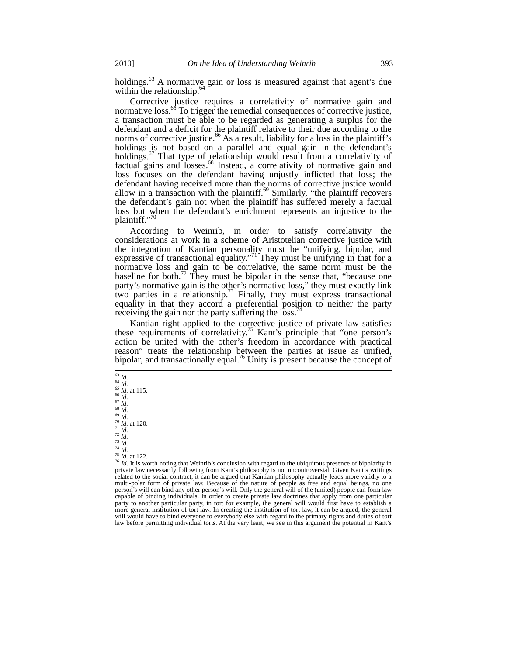holdings. $^{63}$  A normative gain or loss is measured against that agent's due within the relationship. $64$ 

Corrective justice requires a correlativity of normative gain and normative loss.<sup>65</sup> To trigger the remedial consequences of corrective justice, a transaction must be able to be regarded as generating a surplus for the defendant and a deficit for the plaintiff relative to their due according to the norms of corrective justice.<sup>66</sup> As a result, liability for a loss in the plaintiff's holdings is not based on a parallel and equal gain in the defendant's holdings.<sup>67</sup> That type of relationship would result from a correlativity of factual gains and losses.68 Instead, a correlativity of normative gain and loss focuses on the defendant having unjustly inflicted that loss; the defendant having received more than the norms of corrective justice would allow in a transaction with the plaintiff. $69$  Similarly, "the plaintiff recovers the defendant's gain not when the plaintiff has suffered merely a factual loss but when the defendant's enrichment represents an injustice to the plaintiff." $\frac{1}{2}$ 

According to Weinrib, in order to satisfy correlativity the considerations at work in a scheme of Aristotelian corrective justice with the integration of Kantian personality must be "unifying, bipolar, and expressive of transactional equality."<sup>71</sup> They must be unifying in that for a normative loss and gain to be correlative, the same norm must be the baseline for both.<sup>72</sup> They must be bipolar in the sense that, "because one party's normative gain is the other's normative loss," they must exactly link two parties in a relationship.<sup>73</sup> Finally, they must express transactional equality in that they accord a preferential position to neither the party receiving the gain nor the party suffering the loss. $\frac{7}{4}$ 

Kantian right applied to the corrective justice of private law satisfies these requirements of correlativity.<sup>75</sup> Kant's principle that "one person's action be united with the other's freedom in accordance with practical reason" treats the relationship between the parties at issue as unified, bipolar, and transactionally equal.<sup>76</sup> Unity is present because the concept of

 $\frac{63}{64}$  *Id.*<br> $\frac{64}{16}$  *Id.* at 115.

<sup>&</sup>lt;sup>63</sup> *Id.*<br>
<sup>64</sup> *Id.*<br>
<sup>65</sup> *Id.*<br>
<sup>66</sup> *Id.*<br>
<sup>66</sup> *Id.*<br>
<sup>66</sup> *Id.*<br>
<sup>70</sup> *Id.*<br>
<sup>70</sup> *Id.*<br>
<sup>70</sup> *Id.*<br>
<sup>72</sup> *Id.*<br>
<sup>72</sup> *Id.*<br>
<sup>72</sup> *Id.*<br>
<sup>72</sup> *Id.*<br>
<sup>74</sup> *Id.*<br>
<sup>74</sup> *Id.*<br>
<sup>74</sup> *Id.*<br>
<sup>74</sup> *Id.*<br>
<sup>74</sup> *Id.*<br>
<sup>174</sup> related to the social contract, it can be argued that Kantian philosophy actually leads more validly to a multi-polar form of private law. Because of the nature of people as free and equal beings, no one person's will can bind any other person's will. Only the general will of the (united) people can form law capable of binding individuals. In order to create private law doctrines that apply from one particular party to another particular party, in tort for example, the general will would first have to establish a more general institution of tort law. In creating the institution of tort law, it can be argued, the general will would have to bind everyone to everybody else with regard to the primary rights and duties of tort law before permitting individual torts. At the very least, we see in this argument the potential in Kant's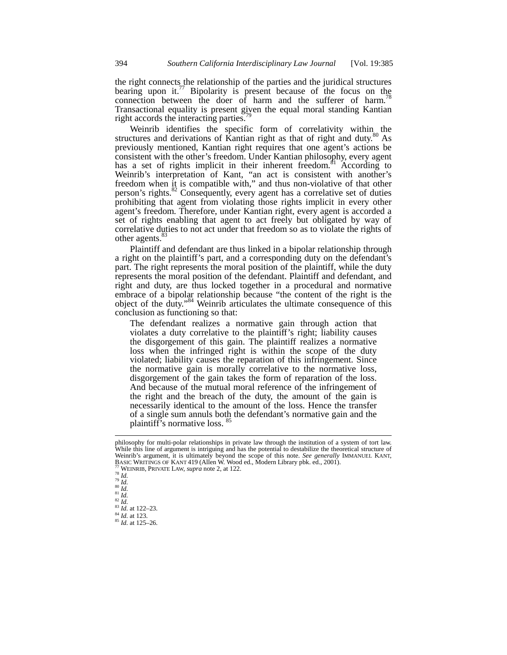the right connects the relationship of the parties and the juridical structures bearing upon it.<sup>77</sup> Bipolarity is present because of the focus on the connection between the doer of harm and the sufferer of harm.<sup>78</sup> Transactional equality is present given the equal moral standing Kantian right accords the interacting parties.<sup>7</sup>

Weinrib identifies the specific form of correlativity within the ctures and derivations of Kantian right as that of right and duty.<sup>80</sup> As structures and derivations of Kantian right as that of right and duty.<sup>8</sup> previously mentioned, Kantian right requires that one agent's actions be consistent with the other's freedom. Under Kantian philosophy, every agent has a set of rights implicit in their inherent freedom.<sup>81</sup> According to Weinrib's interpretation of Kant, "an act is consistent with another's freedom when it is compatible with," and thus non-violative of that other person's rights.<sup>82</sup> Consequently, every agent has a correlative set of duties prohibiting that agent from violating those rights implicit in every other agent's freedom. Therefore, under Kantian right, every agent is accorded a set of rights enabling that agent to act freely but obligated by way of correlative duties to not act under that freedom so as to violate the rights of other agents.<sup>83</sup>

Plaintiff and defendant are thus linked in a bipolar relationship through a right on the plaintiff's part, and a corresponding duty on the defendant's part. The right represents the moral position of the plaintiff, while the duty represents the moral position of the defendant. Plaintiff and defendant, and right and duty, are thus locked together in a procedural and normative embrace of a bipolar relationship because "the content of the right is the object of the duty."<sup>84</sup> Weinrib articulates the ultimate consequence of this conclusion as functioning so that:

The defendant realizes a normative gain through action that violates a duty correlative to the plaintiff's right; liability causes the disgorgement of this gain. The plaintiff realizes a normative loss when the infringed right is within the scope of the duty violated; liability causes the reparation of this infringement. Since the normative gain is morally correlative to the normative loss, disgorgement of the gain takes the form of reparation of the loss. And because of the mutual moral reference of the infringement of the right and the breach of the duty, the amount of the gain is necessarily identical to the amount of the loss. Hence the transfer of a single sum annuls both the defendant's normative gain and the plaintiff's normative loss.<sup>85</sup>

philosophy for multi-polar relationships in private law through the institution of a system of tort law. While this line of argument is intriguing and has the potential to destabilize the theoretical structure of Weinrib's argument, it is ultimately beyond the scope of this note. *See generally* IMMANUEL KANT, BASIC WRITINGS OF KANT 419 (Allen W. Wood ed., Modern Library pbk. ed., 2001).<br>
<sup>78</sup> WEINRIB, PRIVATE LAW, *supra* note 2, at 122.<br>
<sup>79</sup> Id.<br>
<sup>80</sup> Id.<br>
<sup>80</sup> Id.<br>
<sup>81</sup> Id.<br>
<sup>82</sup> Id.<br>
<sup>82</sup> Id.<br>
<sup>82</sup> Id.<br>
<sup>82</sup> Id.<br>
<sup>82</sup> Id.<br>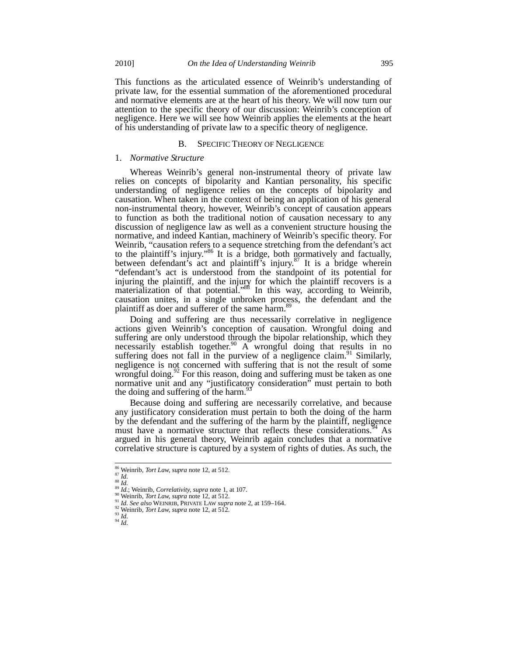This functions as the articulated essence of Weinrib's understanding of private law, for the essential summation of the aforementioned procedural and normative elements are at the heart of his theory. We will now turn our attention to the specific theory of our discussion: Weinrib's conception of negligence. Here we will see how Weinrib applies the elements at the heart of his understanding of private law to a specific theory of negligence.

#### B. SPECIFIC THEORY OF NEGLIGENCE

### 1. *Normative Structure*

Whereas Weinrib's general non-instrumental theory of private law relies on concepts of bipolarity and Kantian personality, his specific understanding of negligence relies on the concepts of bipolarity and causation. When taken in the context of being an application of his general non-instrumental theory, however, Weinrib's concept of causation appears to function as both the traditional notion of causation necessary to any discussion of negligence law as well as a convenient structure housing the normative, and indeed Kantian, machinery of Weinrib's specific theory. For Weinrib, "causation refers to a sequence stretching from the defendant's act to the plaintiff's injury."<sup>86</sup> It is a bridge, both normatively and factually, between defendant's act and plaintiff's injury. $87$  It is a bridge wherein "defendant's act is understood from the standpoint of its potential for injuring the plaintiff, and the injury for which the plaintiff recovers is a materialization of that potential."<sup>88</sup> In this way, according to Weinrib, causation unites, in a single unbroken process, the defendant and the plaintiff as doer and sufferer of the same harm.<sup>89</sup>

Doing and suffering are thus necessarily correlative in negligence actions given Weinrib's conception of causation. Wrongful doing and suffering are only understood through the bipolar relationship, which they necessarily establish together.<sup>90</sup> A wrongful doing that results in no suffering does not fall in the purview of a negligence claim.<sup>91</sup> Similarly, negligence is not concerned with suffering that is not the result of some wrongful doing. $92$  For this reason, doing and suffering must be taken as one normative unit and any "justificatory consideration" must pertain to both the doing and suffering of the harm. $93$ 

Because doing and suffering are necessarily correlative, and because any justificatory consideration must pertain to both the doing of the harm by the defendant and the suffering of the harm by the plaintiff, negligence must have a normative structure that reflects these considerations.<sup>94</sup> As argued in his general theory, Weinrib again concludes that a normative correlative structure is captured by a system of rights of duties. As such, the

<sup>&</sup>lt;sup>86</sup> Weinrib, Tort Law, supra note 12, at 512.

<sup>&</sup>lt;sup>87</sup> *Menrib, Iort Law, supra* note 12, at 512.<br>
<sup>87</sup> *Id.*<br>
<sup>89</sup> *Id.*; Weinrib, *Correlativity, supra* note 1, at 107.<br>
<sup>90</sup> Weinrib, *Tort Law, supra* note 12, at 512.<br>
<sup>91</sup> *Id. See also* WEINRIB, PRIVATE LAW *supra*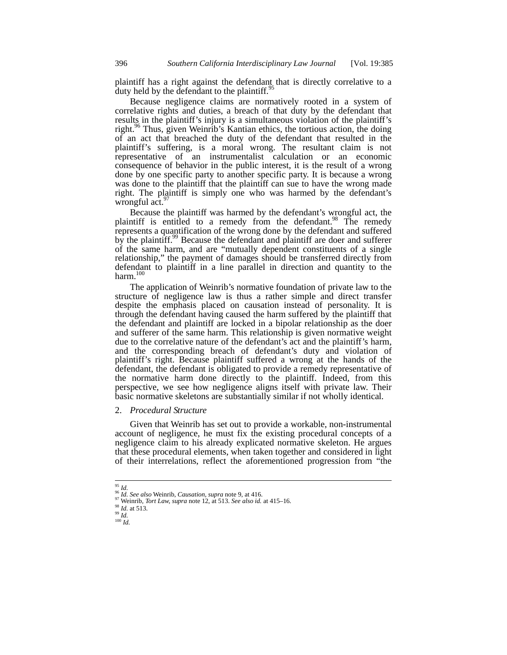plaintiff has a right against the defendant that is directly correlative to a duty held by the defendant to the plaintiff.<sup>95</sup>

Because negligence claims are normatively rooted in a system of correlative rights and duties, a breach of that duty by the defendant that results in the plaintiff's injury is a simultaneous violation of the plaintiff's right.<sup>96</sup> Thus, given Weinrib's Kantian ethics, the tortious action, the doing of an act that breached the duty of the defendant that resulted in the plaintiff's suffering, is a moral wrong. The resultant claim is not representative of an instrumentalist calculation or an economic consequence of behavior in the public interest, it is the result of a wrong done by one specific party to another specific party. It is because a wrong was done to the plaintiff that the plaintiff can sue to have the wrong made right. The plaintiff is simply one who was harmed by the defendant's wrongful  $act.^{97}$ 

Because the plaintiff was harmed by the defendant's wrongful act, the plaintiff is entitled to a remedy from the defendant.<sup>98</sup> The remedy represents a quantification of the wrong done by the defendant and suffered by the plaintiff.<sup>99</sup> Because the defendant and plaintiff are doer and sufferer of the same harm, and are "mutually dependent constituents of a single relationship," the payment of damages should be transferred directly from defendant to plaintiff in a line parallel in direction and quantity to the harm. $100$ 

The application of Weinrib's normative foundation of private law to the structure of negligence law is thus a rather simple and direct transfer despite the emphasis placed on causation instead of personality. It is through the defendant having caused the harm suffered by the plaintiff that the defendant and plaintiff are locked in a bipolar relationship as the doer and sufferer of the same harm. This relationship is given normative weight due to the correlative nature of the defendant's act and the plaintiff's harm, and the corresponding breach of defendant's duty and violation of plaintiff's right. Because plaintiff suffered a wrong at the hands of the defendant, the defendant is obligated to provide a remedy representative of the normative harm done directly to the plaintiff. Indeed, from this perspective, we see how negligence aligns itself with private law. Their basic normative skeletons are substantially similar if not wholly identical.

## 2. *Procedural Structure*

Given that Weinrib has set out to provide a workable, non-instrumental account of negligence, he must fix the existing procedural concepts of a negligence claim to his already explicated normative skeleton. He argues that these procedural elements, when taken together and considered in light of their interrelations, reflect the aforementioned progression from "the

 $^{95}$   $\mathit{Id}.$ 

<sup>&</sup>lt;sup>96</sup> *Id. See also* Weinrib, *Causation, supra* note 9, at 416.<br><sup>97</sup> Weinrib, *Tort Law, supra* note 12, at 513. *See also id.* at 415–16.<br><sup>98</sup> *Id.* 100 *Id*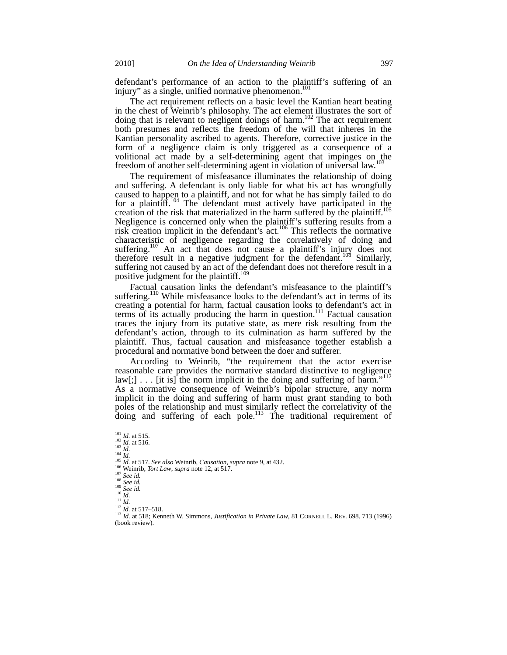defendant's performance of an action to the plaintiff's suffering of an injury" as a single, unified normative phenomenon.<sup>101</sup>

The act requirement reflects on a basic level the Kantian heart beating in the chest of Weinrib's philosophy. The act element illustrates the sort of doing that is relevant to negligent doings of harm.<sup>102</sup> The act requirement both presumes and reflects the freedom of the will that inheres in the Kantian personality ascribed to agents. Therefore, corrective justice in the form of a negligence claim is only triggered as a consequence of a volitional act made by a self-determining agent that impinges on the freedom of another self-determining agent in violation of universal law.<sup>103</sup>

The requirement of misfeasance illuminates the relationship of doing and suffering. A defendant is only liable for what his act has wrongfully caused to happen to a plaintiff, and not for what he has simply failed to do for a plaintiff.<sup>104</sup> The defendant must actively have participated in the creation of the risk that materialized in the harm suffered by the plaintiff.<sup>105</sup> Negligence is concerned only when the plaintiff's suffering results from a risk creation implicit in the defendant's  $act.^{106}$ . This reflects the normative characteristic of negligence regarding the correlatively of doing and suffering.<sup>107</sup> An act that does not cause a plaintiff's injury does not therefore result in a negative judgment for the defendant.<sup>108</sup> Similarly, suffering not caused by an act of the defendant does not therefore result in a positive judgment for the plaintiff.<sup>109</sup>

Factual causation links the defendant's misfeasance to the plaintiff's suffering.<sup>110</sup> While misfeasance looks to the defendant's act in terms of its creating a potential for harm, factual causation looks to defendant's act in terms of its actually producing the harm in question.<sup>111</sup> Factual causation traces the injury from its putative state, as mere risk resulting from the defendant's action, through to its culmination as harm suffered by the plaintiff. Thus, factual causation and misfeasance together establish a procedural and normative bond between the doer and sufferer.

According to Weinrib, "the requirement that the actor exercise reasonable care provides the normative standard distinctive to negligence  $law$ [;]  $\ldots$  [it is] the norm implicit in the doing and suffering of harm."<sup>12</sup> As a normative consequence of Weinrib's bipolar structure, any norm implicit in the doing and suffering of harm must grant standing to both poles of the relationship and must similarly reflect the correlativity of the doing and suffering of each pole.<sup>113</sup> The traditional requirement of

 $101$  *Id.* at 515.

<sup>&</sup>lt;sup>102</sup> *Id.* at 516.<br>
<sup>102</sup> *Id.* at 516.<br>
<sup>103</sup> *Id.*<br>
<sup>103</sup> *Id.*<br>
<sup>105</sup> *Id.* at 517. *See also* Weinrib, *Causation, supra* note 9, at 432.<br>
<sup>106</sup> *Neinib, Tort Law, supra* note 12, at 517.<br>
<sup>106</sup> *See id.*<br>
<sup>108</sup> *See* (book review).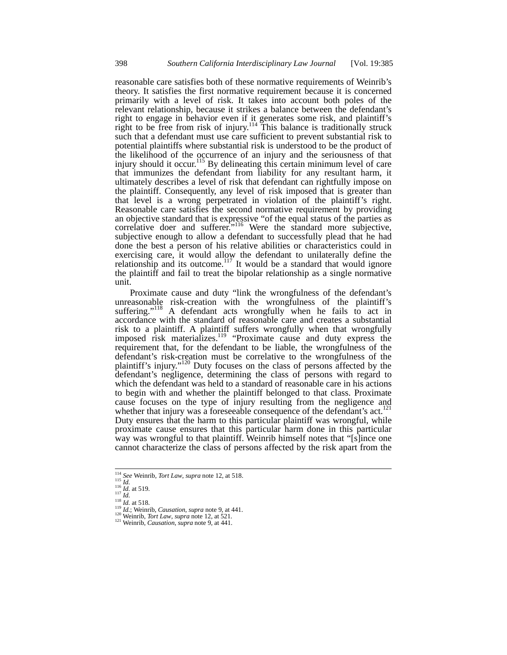reasonable care satisfies both of these normative requirements of Weinrib's theory. It satisfies the first normative requirement because it is concerned primarily with a level of risk. It takes into account both poles of the relevant relationship, because it strikes a balance between the defendant's right to engage in behavior even if it generates some risk, and plaintiff's right to be free from risk of injury.<sup>114</sup> This balance is traditionally struck such that a defendant must use care sufficient to prevent substantial risk to potential plaintiffs where substantial risk is understood to be the product of the likelihood of the occurrence of an injury and the seriousness of that injury should it occur.<sup>115</sup> By delineating this certain minimum level of care that immunizes the defendant from liability for any resultant harm, it ultimately describes a level of risk that defendant can rightfully impose on the plaintiff. Consequently, any level of risk imposed that is greater than that level is a wrong perpetrated in violation of the plaintiff's right. Reasonable care satisfies the second normative requirement by providing an objective standard that is expressive "of the equal status of the parties as an objective standard that is expressive of the equal status of the parties as<br>correlative doer and sufferer."<sup>116</sup> Were the standard more subjective, subjective enough to allow a defendant to successfully plead that he had done the best a person of his relative abilities or characteristics could in exercising care, it would allow the defendant to unilaterally define the relationship and its outcome.<sup>117</sup> It would be a standard that would ignore the plaintiff and fail to treat the bipolar relationship as a single normative unit.

Proximate cause and duty "link the wrongfulness of the defendant's unreasonable risk-creation with the wrongfulness of the plaintiff's suffering."<sup>118</sup> A defendant acts wrongfully when he fails to act in accordance with the standard of reasonable care and creates a substantial risk to a plaintiff. A plaintiff suffers wrongfully when that wrongfully imposed risk materializes.<sup>119</sup> "Proximate cause and duty express the requirement that, for the defendant to be liable, the wrongfulness of the defendant's risk-creation must be correlative to the wrongfulness of the plaintiff's injury."<sup>120</sup> Duty focuses on the class of persons affected by the defendant's negligence, determining the class of persons with regard to which the defendant was held to a standard of reasonable care in his actions to begin with and whether the plaintiff belonged to that class. Proximate cause focuses on the type of injury resulting from the negligence and whether that injury was a foreseeable consequence of the defendant's act.<sup>121</sup> Duty ensures that the harm to this particular plaintiff was wrongful, while proximate cause ensures that this particular harm done in this particular way was wrongful to that plaintiff. Weinrib himself notes that "[s]ince one cannot characterize the class of persons affected by the risk apart from the

<sup>&</sup>lt;sup>114</sup> See Weinrib, Tort Law, supra note 12, at 518.

<sup>&</sup>lt;sup>115</sup> *Id.*<br>
<sup>115</sup> *Id.*<br>
<sup>115</sup> *Id.*<br>
<sup>116</sup> *Id.*<br>
<sup>116</sup> *Id.*<br>
<sup>117</sup> *Id.*<br>
<sup>118</sup> *Id.*<br>
<sup>118</sup> *Id.*<br>
<sup>118</sup> *Id.*<br>
<sup>118</sup> *Id.*; Weinrib, *Causation*, *supra* note 9, at 441.<br>
<sup>120</sup> Weinrib, *Tort Law*, *supra* note 12,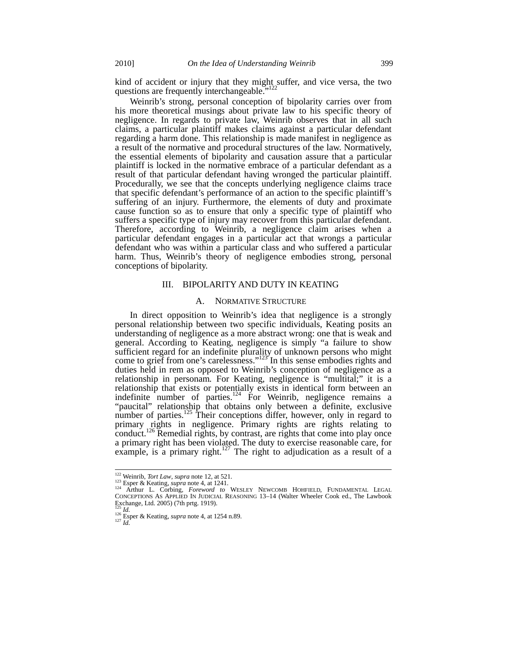kind of accident or injury that they might suffer, and vice versa, the two questions are frequently interchangeable."<sup>122</sup>

Weinrib's strong, personal conception of bipolarity carries over from his more theoretical musings about private law to his specific theory of negligence. In regards to private law, Weinrib observes that in all such claims, a particular plaintiff makes claims against a particular defendant regarding a harm done. This relationship is made manifest in negligence as a result of the normative and procedural structures of the law. Normatively, the essential elements of bipolarity and causation assure that a particular plaintiff is locked in the normative embrace of a particular defendant as a result of that particular defendant having wronged the particular plaintiff. Procedurally, we see that the concepts underlying negligence claims trace that specific defendant's performance of an action to the specific plaintiff's suffering of an injury. Furthermore, the elements of duty and proximate cause function so as to ensure that only a specific type of plaintiff who suffers a specific type of injury may recover from this particular defendant. Therefore, according to Weinrib, a negligence claim arises when a particular defendant engages in a particular act that wrongs a particular defendant who was within a particular class and who suffered a particular harm. Thus, Weinrib's theory of negligence embodies strong, personal conceptions of bipolarity.

## III. BIPOLARITY AND DUTY IN KEATING

#### A. NORMATIVE STRUCTURE

In direct opposition to Weinrib's idea that negligence is a strongly personal relationship between two specific individuals, Keating posits an understanding of negligence as a more abstract wrong: one that is weak and general. According to Keating, negligence is simply "a failure to show sufficient regard for an indefinite plurality of unknown persons who might come to grief from one's carelessness."<sup>123</sup> In this sense embodies rights and duties held in rem as opposed to Weinrib's conception of negligence as a relationship in personam*.* For Keating, negligence is "multital;" it is a relationship that exists or potentially exists in identical form between an indefinite number of parties. $124$  For Weinrib, negligence remains a "paucital" relationship that obtains only between a definite, exclusive number of parties.<sup>125</sup> Their conceptions differ, however, only in regard to primary rights in negligence. Primary rights are rights relating to conduct.<sup>126</sup> Remedial rights, by contrast, are rights that come into play once a primary right has been violated. The duty to exercise reasonable care, for example, is a primary right.<sup>127</sup> The right to adjudication as a result of a

<sup>&</sup>lt;sup>122</sup> Weinrib, *Tort Law*, *supra* note 12, at 521.

<sup>&</sup>lt;sup>122</sup> Weinrib, *Tort Law*, *supra* note 12, at 521.<br><sup>123</sup> Esper & Keating, *supra* note 4, at 1241.<br><sup>124</sup> Arthur L. Corbing, *Foreword to* WESLEY NEWCOMB HOHFIELD, FUNDAMENTAL LEGAL CONCEPTIONS AS APPLIED IN JUDICIAL REASONING 13–14 (Walter Wheeler Cook ed., The Lawbook Exchange, Ltd. 2005) (7th prtg. 1919).

<sup>&</sup>lt;sup>125</sup> *Id.* 126 Esper & Keating, *supra* note 4, at 1254 n.89. <sup>127</sup> *Id.*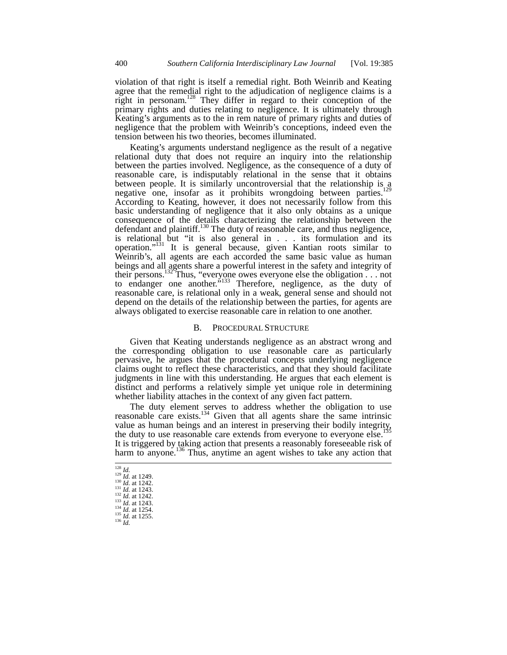violation of that right is itself a remedial right. Both Weinrib and Keating agree that the remedial right to the adjudication of negligence claims is a right in personam.<sup>128</sup> They differ in regard to their conception of the primary rights and duties relating to negligence. It is ultimately through Keating's arguments as to the in rem nature of primary rights and duties of negligence that the problem with Weinrib's conceptions, indeed even the tension between his two theories, becomes illuminated.

Keating's arguments understand negligence as the result of a negative relational duty that does not require an inquiry into the relationship between the parties involved. Negligence, as the consequence of a duty of reasonable care, is indisputably relational in the sense that it obtains between people. It is similarly uncontroversial that the relationship is a negative one, insofar as it prohibits wrongdoing between parties.<sup>1</sup> According to Keating, however, it does not necessarily follow from this basic understanding of negligence that it also only obtains as a unique consequence of the details characterizing the relationship between the defendant and plaintiff.130 The duty of reasonable care, and thus negligence, is relational but "it is also general in . . . its formulation and its operation."131 It is general because, given Kantian roots similar to Weinrib's, all agents are each accorded the same basic value as human beings and all agents share a powerful interest in the safety and integrity of their persons.<sup>132</sup> Thus, "everyone owes everyone else the obligation  $\ldots$  not to endanger one another.<sup> $5133$ </sup> Therefore, negligence, as the duty of reasonable care, is relational only in a weak, general sense and should not depend on the details of the relationship between the parties, for agents are always obligated to exercise reasonable care in relation to one another.

## B. PROCEDURAL STRUCTURE

Given that Keating understands negligence as an abstract wrong and the corresponding obligation to use reasonable care as particularly pervasive, he argues that the procedural concepts underlying negligence claims ought to reflect these characteristics, and that they should facilitate judgments in line with this understanding. He argues that each element is distinct and performs a relatively simple yet unique role in determining whether liability attaches in the context of any given fact pattern.

The duty element serves to address whether the obligation to use reasonable care exists.<sup>134</sup> Given that all agents share the same intrinsic value as human beings and an interest in preserving their bodily integrity,<br>value as human beings and an interest in preserving their bodily integrity, the duty to use reasonable care extends from everyone to everyone else.<sup>1</sup> It is triggered by taking action that presents a reasonably foreseeable risk of harm to anyone.<sup>136</sup> Thus, anytime an agent wishes to take any action that

l 1<sup>28</sup> *Id.* at 1249.<br><sup>130</sup> *Id.* at 1242.<br><sup>131</sup> *Id.* at 1243.<br><sup>132</sup> *Id.* at 1242.<br><sup>133</sup> *Id.* at 1254.<br><sup>135</sup> *Id.* at 1255.<br><sup>136</sup> *Id.* at 1255.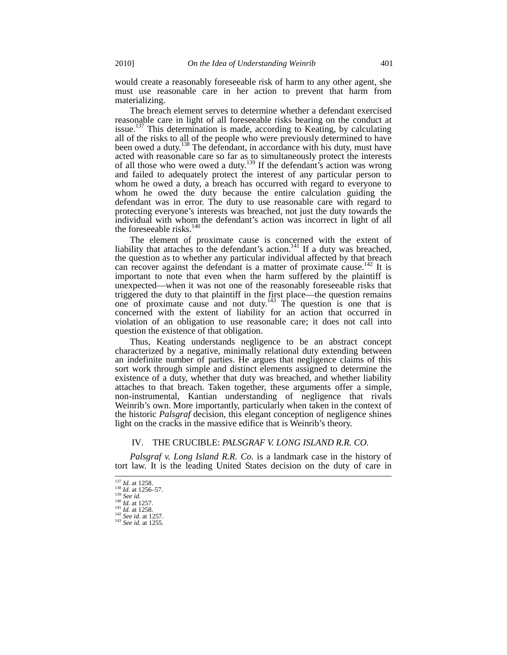would create a reasonably foreseeable risk of harm to any other agent, she must use reasonable care in her action to prevent that harm from materializing.

The breach element serves to determine whether a defendant exercised reasonable care in light of all foreseeable risks bearing on the conduct at issue.<sup>137</sup> This determination is made, according to Keating, by calculating all of the risks to all of the people who were previously determined to have been owed a duty.<sup>138</sup> The defendant, in accordance with his duty, must have acted with reasonable care so far as to simultaneously protect the interests of all those who were owed a duty.<sup>139</sup> If the defendant's action was wrong and failed to adequately protect the interest of any particular person to whom he owed a duty, a breach has occurred with regard to everyone to whom he owed the duty because the entire calculation guiding the defendant was in error. The duty to use reasonable care with regard to protecting everyone's interests was breached, not just the duty towards the individual with whom the defendant's action was incorrect in light of all the foreseeable risks.<sup>140</sup>

The element of proximate cause is concerned with the extent of liability that attaches to the defendant's action.<sup>141</sup> If a duty was breached, the question as to whether any particular individual affected by that breach can recover against the defendant is a matter of proximate cause.<sup>142</sup> It is important to note that even when the harm suffered by the plaintiff is unexpected—when it was not one of the reasonably foreseeable risks that triggered the duty to that plaintiff in the first place—the question remains one of proximate cause and not duty.<sup>143</sup> The question is one that is concerned with the extent of liability for an action that occurred in violation of an obligation to use reasonable care; it does not call into question the existence of that obligation.

Thus, Keating understands negligence to be an abstract concept characterized by a negative, minimally relational duty extending between an indefinite number of parties. He argues that negligence claims of this sort work through simple and distinct elements assigned to determine the existence of a duty, whether that duty was breached, and whether liability attaches to that breach. Taken together, these arguments offer a simple, non-instrumental, Kantian understanding of negligence that rivals Weinrib's own. More importantly, particularly when taken in the context of the historic *Palsgraf* decision, this elegant conception of negligence shines light on the cracks in the massive edifice that is Weinrib's theory.

## IV. THE CRUCIBLE: *PALSGRAF V. LONG ISLAND R.R. CO.*

*Palsgraf v. Long Island R.R. Co.* is a landmark case in the history of tort law. It is the leading United States decision on the duty of care in

 $\frac{137}{138}$  *Id.* at 1258.<br><sup>138</sup> *Id.* at 1256–57.<br><sup>139</sup> *See id.*<br><sup>140</sup> *L<sub>1</sub>* - 1257.

<sup>137</sup> *Id.* at 1258. <sup>138</sup> *Id.* at 1256–57. <sup>139</sup> *See id.* <sup>140</sup> *Id.* at 1257. <sup>141</sup> *Id.* at 1258. <sup>142</sup> *See id.* at 1257. <sup>143</sup> *See id.* at 1255.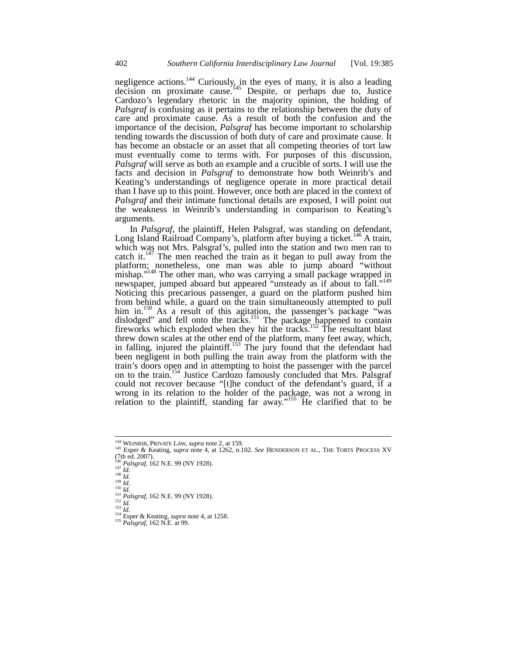negligence actions.<sup>144</sup> Curiously, in the eyes of many, it is also a leading decision on proximate cause.<sup>145</sup> Despite, or perhaps due to, Justice Cardozo's legendary rhetoric in the majority opinion, the holding of *Palsgraf* is confusing as it pertains to the relationship between the duty of care and proximate cause. As a result of both the confusion and the importance of the decision, *Palsgraf* has become important to scholarship tending towards the discussion of both duty of care and proximate cause. It has become an obstacle or an asset that all competing theories of tort law must eventually come to terms with. For purposes of this discussion, *Palsgraf* will serve as both an example and a crucible of sorts. I will use the facts and decision in *Palsgraf* to demonstrate how both Weinrib's and Keating's understandings of negligence operate in more practical detail than I have up to this point. However, once both are placed in the context of *Palsgraf* and their intimate functional details are exposed, I will point out the weakness in Weinrib's understanding in comparison to Keating's arguments.

In *Palsgraf*, the plaintiff, Helen Palsgraf, was standing on defendant, Long Island Railroad Company's, platform after buying a ticket.<sup>146</sup> A train, which was not Mrs. Palsgraf's, pulled into the station and two men ran to catch it.<sup>147</sup> The men reached the train as it began to pull away from the platform; nonetheless, one man was able to jump aboard "without mishap."<sup>148</sup> The other man, who was carrying a small package wrapped in newspaper, jumped aboard but appeared "unsteady as if about to fall."<sup>149</sup> Noticing this precarious passenger, a guard on the platform pushed him from behind while, a guard on the train simultaneously attempted to pull him in.<sup>150</sup> As a result of this agitation, the passenger's package "was dislodged" and fell onto the tracks.<sup>151</sup> The package happened to contain fireworks which exploded when they hit the tracks.<sup>152</sup> The resultant blast threw down scales at the other end of the platform, many feet away, which, in falling, injured the plaintiff.<sup>153</sup> The jury found that the defendant had been negligent in both pulling the train away from the platform with the train's doors open and in attempting to hoist the passenger with the parcel on to the train.<sup>154</sup> Justice Cardozo famously concluded that Mrs. Palsgraf could not recover because "[t]he conduct of the defendant's guard, if a wrong in its relation to the holder of the package, was not a wrong in relation to the plaintiff, standing far away."<sup>155</sup> He clarified that to be

<sup>&</sup>lt;sup>144</sup> WEINRIB, PRIVATE LAW, *supra* note 2, at 159.

<sup>145</sup> Esper & Keating, *supra* note 4, at 1262, n.102. *See* HENDERSON ET AL., THE TORTS PROCESS XV  $(7th$  ed. 2007).

<sup>&</sup>lt;sup>146</sup> *Palsgraf*, 162 N.E. 99 (NY 1928).<br>
<sup>147</sup> *Id.*<br>
<sup>148</sup> *Id.*<br>
<sup>148</sup> *Id.*<br>
<sup>151</sup> *Id.*<br>
<sup>151</sup> *Rasgraf*, 162 N.E. 99 (NY 1928).<br>
<sup>152</sup> *Id.*<br>
<sup>151</sup> *Id.*<br>
<sup>151</sup> *Id.*<br>
<sup>151</sup> *Id.*<br>
<sup>151</sup> *Id.*<br>
<sup>151</sup> *Id.*<br>
<sup>151</sup> *I*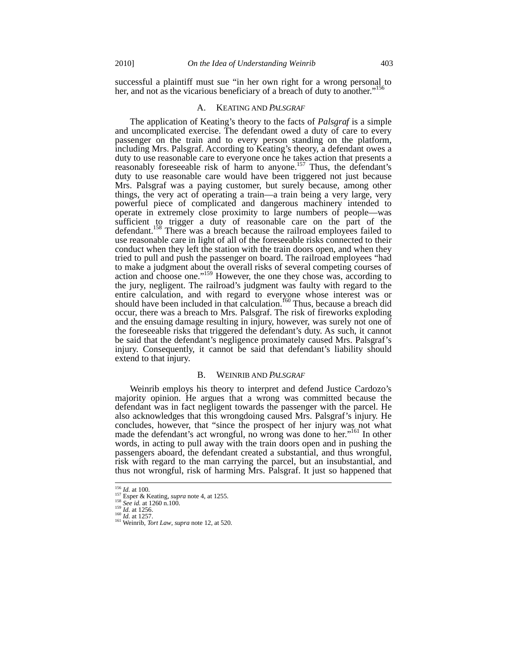successful a plaintiff must sue "in her own right for a wrong personal to her, and not as the vicarious beneficiary of a breach of duty to another."<sup>156</sup>

#### A. KEATING AND *PALSGRAF*

The application of Keating's theory to the facts of *Palsgraf* is a simple and uncomplicated exercise. The defendant owed a duty of care to every passenger on the train and to every person standing on the platform, including Mrs. Palsgraf. According to Keating's theory, a defendant owes a duty to use reasonable care to everyone once he takes action that presents a reasonably foreseeable risk of harm to anyone.<sup>157</sup> Thus, the defendant's duty to use reasonable care would have been triggered not just because Mrs. Palsgraf was a paying customer, but surely because, among other things, the very act of operating a train—a train being a very large, very powerful piece of complicated and dangerous machinery intended to operate in extremely close proximity to large numbers of people—was sufficient to trigger a duty of reasonable care on the part of the defendant.<sup>158</sup> There was a breach because the railroad employees failed to use reasonable care in light of all of the foreseeable risks connected to their conduct when they left the station with the train doors open, and when they tried to pull and push the passenger on board. The railroad employees "had to make a judgment about the overall risks of several competing courses of action and choose one."<sup>159</sup> However, the one they chose was, according to the jury, negligent. The railroad's judgment was faulty with regard to the entire calculation, and with regard to everyone whose interest was or should have been included in that calculation.<sup>160</sup> Thus, because a breach did occur, there was a breach to Mrs. Palsgraf. The risk of fireworks exploding and the ensuing damage resulting in injury, however, was surely not one of the foreseeable risks that triggered the defendant's duty. As such, it cannot be said that the defendant's negligence proximately caused Mrs. Palsgraf's injury. Consequently, it cannot be said that defendant's liability should extend to that injury.

#### B. WEINRIB AND *PALSGRAF*

Weinrib employs his theory to interpret and defend Justice Cardozo's majority opinion. He argues that a wrong was committed because the defendant was in fact negligent towards the passenger with the parcel. He also acknowledges that this wrongdoing caused Mrs. Palsgraf's injury. He concludes, however, that "since the prospect of her injury was not what made the defendant's act wrongful, no wrong was done to her."<sup>161</sup> In other words, in acting to pull away with the train doors open and in pushing the passengers aboard, the defendant created a substantial, and thus wrongful, risk with regard to the man carrying the parcel, but an insubstantial, and thus not wrongful, risk of harming Mrs. Palsgraf. It just so happened that

l

<sup>&</sup>lt;sup>156</sup> *Id.* at 100.<br><sup>157</sup> Esper & Keating, *supra* note 4, at 1255. *See id.* at 1256.<br><sup>159</sup> *Id.* at 1256.<br><sup>160</sup> *Id.* at 1257. *Iort Law, supra* note 12, at 520.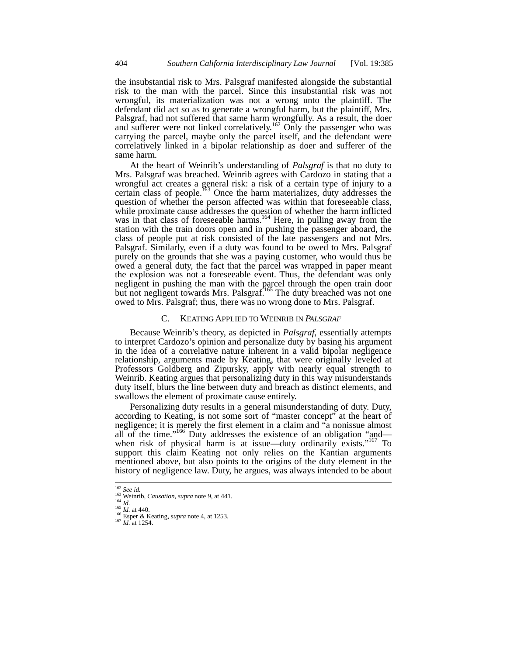the insubstantial risk to Mrs. Palsgraf manifested alongside the substantial risk to the man with the parcel. Since this insubstantial risk was not wrongful, its materialization was not a wrong unto the plaintiff. The defendant did act so as to generate a wrongful harm, but the plaintiff, Mrs. Palsgraf, had not suffered that same harm wrongfully. As a result, the doer and sufferer were not linked correlatively.<sup>162</sup> Only the passenger who was carrying the parcel, maybe only the parcel itself, and the defendant were correlatively linked in a bipolar relationship as doer and sufferer of the same harm.

At the heart of Weinrib's understanding of *Palsgraf* is that no duty to Mrs. Palsgraf was breached. Weinrib agrees with Cardozo in stating that a wrongful act creates a general risk: a risk of a certain type of injury to a certain class of people.<sup>163</sup> Once the harm materializes, duty addresses the question of whether the person affected was within that foreseeable class, while proximate cause addresses the question of whether the harm inflicted was in that class of foreseeable harms.<sup>164</sup> Here, in pulling away from the station with the train doors open and in pushing the passenger aboard, the class of people put at risk consisted of the late passengers and not Mrs. Palsgraf. Similarly, even if a duty was found to be owed to Mrs. Palsgraf purely on the grounds that she was a paying customer, who would thus be owed a general duty, the fact that the parcel was wrapped in paper meant the explosion was not a foreseeable event. Thus, the defendant was only negligent in pushing the man with the parcel through the open train door but not negligent towards Mrs. Palsgraf.<sup>165</sup> The duty breached was not one owed to Mrs. Palsgraf; thus, there was no wrong done to Mrs. Palsgraf.

#### C. KEATING APPLIED TO WEINRIB IN *PALSGRAF*

Because Weinrib's theory, as depicted in *Palsgraf*, essentially attempts to interpret Cardozo's opinion and personalize duty by basing his argument in the idea of a correlative nature inherent in a valid bipolar negligence relationship, arguments made by Keating, that were originally leveled at Professors Goldberg and Zipursky, apply with nearly equal strength to Weinrib. Keating argues that personalizing duty in this way misunderstands duty itself, blurs the line between duty and breach as distinct elements, and swallows the element of proximate cause entirely.

Personalizing duty results in a general misunderstanding of duty. Duty, according to Keating, is not some sort of "master concept" at the heart of negligence; it is merely the first element in a claim and "a nonissue almost all of the time."<sup>166</sup> Duty addresses the existence of an obligation "and when risk of physical harm is at issue—duty ordinarily exists."<sup>167</sup> To support this claim Keating not only relies on the Kantian arguments mentioned above, but also points to the origins of the duty element in the history of negligence law. Duty, he argues, was always intended to be about

 $162$  See id.

<sup>163</sup> Weinrib, *Causation*, *supra* note 9, at 441.<br><sup>164</sup> *Id.*<br><sup>165</sup> *Id.* at 440.<br><sup>166</sup> Esper & Keating, *supra* note 4, at 1253.<br><sup>167</sup> *Id.* at 1254.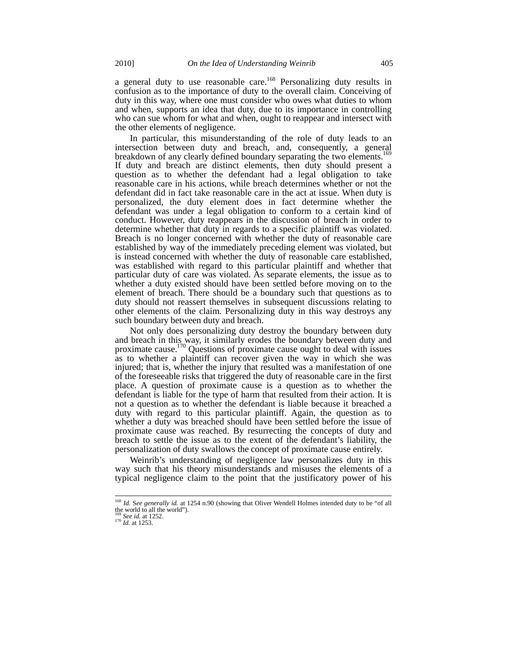a general duty to use reasonable care.<sup>168</sup> Personalizing duty results in confusion as to the importance of duty to the overall claim. Conceiving of duty in this way, where one must consider who owes what duties to whom and when, supports an idea that duty, due to its importance in controlling who can sue whom for what and when, ought to reappear and intersect with the other elements of negligence.

In particular, this misunderstanding of the role of duty leads to an intersection between duty and breach, and, consequently, a general breakdown of any clearly defined boundary separating the two elements.<sup>169</sup> If duty and breach are distinct elements, then duty should present a question as to whether the defendant had a legal obligation to take reasonable care in his actions, while breach determines whether or not the defendant did in fact take reasonable care in the act at issue. When duty is personalized, the duty element does in fact determine whether the defendant was under a legal obligation to conform to a certain kind of conduct. However, duty reappears in the discussion of breach in order to determine whether that duty in regards to a specific plaintiff was violated. Breach is no longer concerned with whether the duty of reasonable care established by way of the immediately preceding element was violated, but is instead concerned with whether the duty of reasonable care established, was established with regard to this particular plaintiff and whether that particular duty of care was violated. As separate elements, the issue as to whether a duty existed should have been settled before moving on to the element of breach. There should be a boundary such that questions as to duty should not reassert themselves in subsequent discussions relating to other elements of the claim. Personalizing duty in this way destroys any such boundary between duty and breach.

Not only does personalizing duty destroy the boundary between duty and breach in this way, it similarly erodes the boundary between duty and proximate cause.<sup>170</sup> Questions of proximate cause ought to deal with issues as to whether a plaintiff can recover given the way in which she was injured; that is, whether the injury that resulted was a manifestation of one of the foreseeable risks that triggered the duty of reasonable care in the first place. A question of proximate cause is a question as to whether the defendant is liable for the type of harm that resulted from their action. It is not a question as to whether the defendant is liable because it breached a duty with regard to this particular plaintiff. Again, the question as to whether a duty was breached should have been settled before the issue of proximate cause was reached. By resurrecting the concepts of duty and breach to settle the issue as to the extent of the defendant's liability, the personalization of duty swallows the concept of proximate cause entirely.

Weinrib's understanding of negligence law personalizes duty in this way such that his theory misunderstands and misuses the elements of a typical negligence claim to the point that the justificatory power of his

<sup>168</sup> *Id.* S*ee generally id.* at 1254 n.90 (showing that Oliver Wendell Holmes intended duty to be "of all

the world to all the world"). <sup>169</sup> *See id.* at 1252. <sup>170</sup> *Id.* at 1253.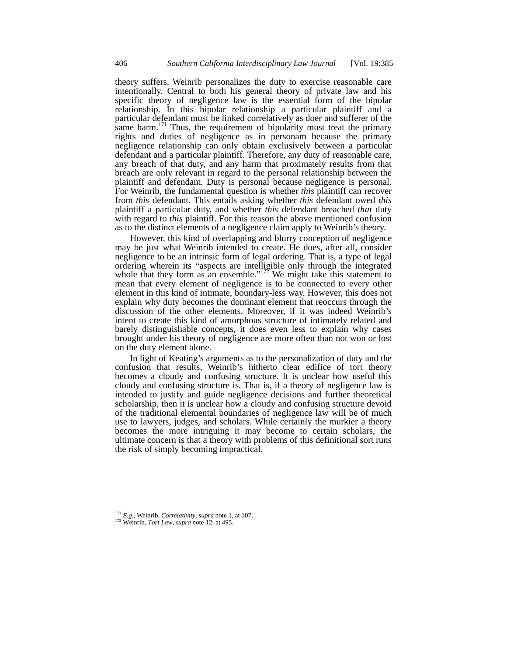theory suffers. Weinrib personalizes the duty to exercise reasonable care intentionally. Central to both his general theory of private law and his specific theory of negligence law is the essential form of the bipolar relationship. In this bipolar relationship a particular plaintiff and a particular defendant must be linked correlatively as doer and sufferer of the same harm.<sup>171</sup> Thus, the requirement of bipolarity must treat the primary rights and duties of negligence as in personam because the primary negligence relationship can only obtain exclusively between a particular defendant and a particular plaintiff. Therefore, any duty of reasonable care, any breach of that duty, and any harm that proximately results from that breach are only relevant in regard to the personal relationship between the plaintiff and defendant. Duty is personal because negligence is personal. For Weinrib, the fundamental question is whether *this* plaintiff can recover from *this* defendant. This entails asking whether *this* defendant owed *this*  plaintiff a particular duty, and whether *this* defendant breached *that* duty with regard to *this* plaintiff. For this reason the above mentioned confusion as to the distinct elements of a negligence claim apply to Weinrib's theory.

However, this kind of overlapping and blurry conception of negligence may be just what Weinrib intended to create. He does, after all, consider negligence to be an intrinsic form of legal ordering. That is, a type of legal ordering wherein its "aspects are intelligible only through the integrated whole that they form as an ensemble." $172$  We might take this statement to mean that every element of negligence is to be connected to every other element in this kind of intimate, boundary-less way. However, this does not explain why duty becomes the dominant element that reoccurs through the discussion of the other elements. Moreover, if it was indeed Weinrib's intent to create this kind of amorphous structure of intimately related and barely distinguishable concepts, it does even less to explain why cases brought under his theory of negligence are more often than not won or lost on the duty element alone.

In light of Keating's arguments as to the personalization of duty and the confusion that results, Weinrib's hitherto clear edifice of tort theory becomes a cloudy and confusing structure. It is unclear how useful this cloudy and confusing structure is. That is, if a theory of negligence law is intended to justify and guide negligence decisions and further theoretical scholarship, then it is unclear how a cloudy and confusing structure devoid of the traditional elemental boundaries of negligence law will be of much use to lawyers, judges, and scholars. While certainly the murkier a theory becomes the more intriguing it may become to certain scholars, the ultimate concern is that a theory with problems of this definitional sort runs the risk of simply becoming impractical.

<sup>171</sup> *E.g.,* Weinrib, *Correlativity*, *supra* note 1, at 107. 172 Weinrib, *Tort Law*, *supra* note 12, at 495.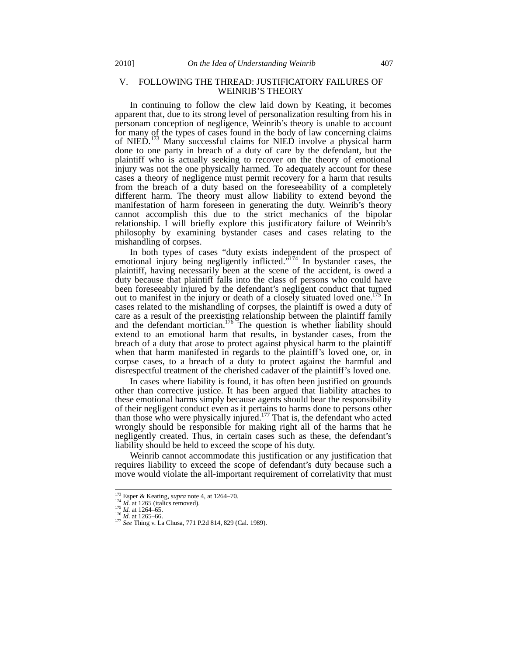## V. FOLLOWING THE THREAD: JUSTIFICATORY FAILURES OF WEINRIB'S THEORY

In continuing to follow the clew laid down by Keating, it becomes apparent that, due to its strong level of personalization resulting from his in personam conception of negligence, Weinrib's theory is unable to account for many of the types of cases found in the body of law concerning claims of NIED.<sup>173</sup> Many successful claims for NIED involve a physical harm done to one party in breach of a duty of care by the defendant, but the plaintiff who is actually seeking to recover on the theory of emotional injury was not the one physically harmed. To adequately account for these cases a theory of negligence must permit recovery for a harm that results from the breach of a duty based on the foreseeability of a completely different harm. The theory must allow liability to extend beyond the manifestation of harm foreseen in generating the duty. Weinrib's theory cannot accomplish this due to the strict mechanics of the bipolar relationship. I will briefly explore this justificatory failure of Weinrib's philosophy by examining bystander cases and cases relating to the mishandling of corpses.

In both types of cases "duty exists independent of the prospect of emotional injury being negligently inflicted.<sup>"174</sup> In bystander cases, the plaintiff, having necessarily been at the scene of the accident, is owed a duty because that plaintiff falls into the class of persons who could have been foreseeably injured by the defendant's negligent conduct that turned out to manifest in the injury or death of a closely situated loved one.<sup>175</sup> In cases related to the mishandling of corpses, the plaintiff is owed a duty of care as a result of the preexisting relationship between the plaintiff family and the defendant mortician.<sup>176</sup> The question is whether liability should extend to an emotional harm that results, in bystander cases, from the breach of a duty that arose to protect against physical harm to the plaintiff when that harm manifested in regards to the plaintiff's loved one, or, in corpse cases, to a breach of a duty to protect against the harmful and disrespectful treatment of the cherished cadaver of the plaintiff's loved one.

In cases where liability is found, it has often been justified on grounds other than corrective justice. It has been argued that liability attaches to these emotional harms simply because agents should bear the responsibility of their negligent conduct even as it pertains to harms done to persons other than those who were physically injured.<sup>177</sup> That is, the defendant who acted wrongly should be responsible for making right all of the harms that he negligently created. Thus, in certain cases such as these, the defendant's liability should be held to exceed the scope of his duty.

Weinrib cannot accommodate this justification or any justification that requires liability to exceed the scope of defendant's duty because such a move would violate the all-important requirement of correlativity that must

<sup>&</sup>lt;sup>173</sup> Esper & Keating, *supra* note 4, at 1264–70.<br><sup>174</sup> *Id.* at 1265 (italics removed).<br><sup>175</sup> *Id.* at 1264–65.<br><sup>176</sup> *Id.* at 1265–66. 177 **P.2d 814, 829 (Cal. 1989).** 177 *See* Thing v. La Chusa, 771 P.2d 814, 829 (Cal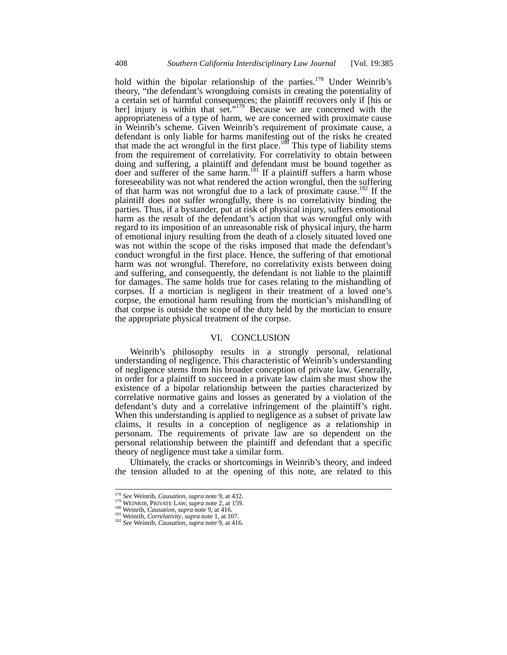hold within the bipolar relationship of the parties.<sup>178</sup> Under Weinrib's theory, "the defendant's wrongdoing consists in creating the potentiality of a certain set of harmful consequences; the plaintiff recovers only if [his or her] injury is within that set."<sup>179</sup> Because we are concerned with the appropriateness of a type of harm, we are concerned with proximate cause in Weinrib's scheme. Given Weinrib's requirement of proximate cause, a defendant is only liable for harms manifesting out of the risks he created that made the act wrongful in the first place.<sup>180</sup> This type of liability stems from the requirement of correlativity. For correlativity to obtain between doing and suffering, a plaintiff and defendant must be bound together as doer and sufferer of the same harm.<sup>181</sup> If a plaintiff suffers a harm whose foreseeability was not what rendered the action wrongful, then the suffering of that harm was not wrongful due to a lack of proximate cause.<sup>182</sup> If the plaintiff does not suffer wrongfully, there is no correlativity binding the parties. Thus, if a bystander, put at risk of physical injury, suffers emotional harm as the result of the defendant's action that was wrongful only with regard to its imposition of an unreasonable risk of physical injury, the harm of emotional injury resulting from the death of a closely situated loved one was not within the scope of the risks imposed that made the defendant's conduct wrongful in the first place. Hence, the suffering of that emotional harm was not wrongful. Therefore, no correlativity exists between doing and suffering, and consequently, the defendant is not liable to the plaintiff for damages. The same holds true for cases relating to the mishandling of corpses. If a mortician is negligent in their treatment of a loved one's corpse, the emotional harm resulting from the mortician's mishandling of that corpse is outside the scope of the duty held by the mortician to ensure the appropriate physical treatment of the corpse.

## VI. CONCLUSION

Weinrib's philosophy results in a strongly personal, relational understanding of negligence. This characteristic of Weinrib's understanding of negligence stems from his broader conception of private law. Generally, in order for a plaintiff to succeed in a private law claim she must show the existence of a bipolar relationship between the parties characterized by correlative normative gains and losses as generated by a violation of the defendant's duty and a correlative infringement of the plaintiff's right. When this understanding is applied to negligence as a subset of private law claims, it results in a conception of negligence as a relationship in personam. The requirements of private law are so dependent on the personal relationship between the plaintiff and defendant that a specific theory of negligence must take a similar form.

Ultimately, the cracks or shortcomings in Weinrib's theory, and indeed the tension alluded to at the opening of this note, are related to this

<sup>&</sup>lt;sup>178</sup> See Weinrib, Causation, supra note 9, at 432.

<sup>&</sup>lt;sup>179</sup> WEINRIB, PRIVATE LAW, *supra* note 2, at 159.<br><sup>189</sup> Weinrib, *Causation*, *supra* note 9, at 416.<br><sup>181</sup> Weinrib, *Causation*, *supra* note 9, at 416.<br><sup>181</sup> See Weinrib, *Causation*, *supra* note 9, at 416.